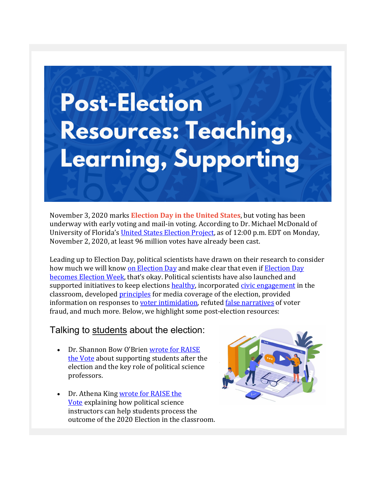## **Post-Election Resources: Teaching,** Learning, Supporting

November 3, 2020 marks **Election Day in the United States**, but voting has been underway with early voting and mail-in voting. According to Dr. Michael McDonald of University of Florida's United States Election Project, as of 12:00 p.m. EDT on Monday, November 2, 2020, at least 96 million votes have already been cast.

Leading up to Election Day, political scientists have drawn on their research to consider how much we will know on Election Day and make clear that even if Election Day becomes Election Week, that's okay. Political scientists have also launched and supported initiatives to keep elections healthy, incorporated civic engagement in the classroom, developed principles for media coverage of the election, provided information on responses to voter intimidation, refuted false narratives of voter fraud, and much more. Below, we highlight some post-election resources:

## Talking to students about the election:

- Dr. Shannon Bow O'Brien wrote for RAISE the Vote about supporting students after the election and the key role of political science professors.
- Dr. Athena King wrote for RAISE the Vote explaining how political science instructors can help students process the outcome of the 2020 Election in the classroom.

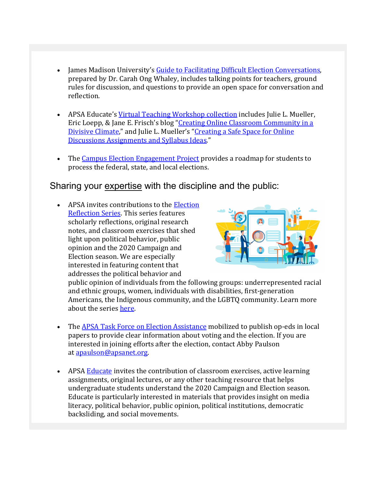- James Madison University's Guide to Facilitating Difficult Election Conversations, prepared by Dr. Carah Ong Whaley, includes talking points for teachers, ground rules for discussion, and questions to provide an open space for conversation and reflection.
- APSA Educate's Virtual Teaching Workshop collection includes Julie L. Mueller, Eric Loepp, & Jane E. Frisch's blog "Creating Online Classroom Community in a Divisive Climate," and Julie L. Mueller's "Creating a Safe Space for Online Discussions Assignments and Syllabus Ideas."
- The Campus Election Engagement Project provides a roadmap for students to process the federal, state, and local elections.

## Sharing your expertise with the discipline and the public:

• APSA invites contributions to the Election Reflection Series. This series features scholarly reflections, original research notes, and classroom exercises that shed light upon political behavior, public opinion and the 2020 Campaign and Election season. We are especially interested in featuring content that addresses the political behavior and



public opinion of individuals from the following groups: underrepresented racial and ethnic groups, women, individuals with disabilities, first-generation Americans, the Indigenous community, and the LGBTQ community. Learn more about the series here.

- The APSA Task Force on Election Assistance mobilized to publish op-eds in local papers to provide clear information about voting and the election. If you are interested in joining efforts after the election, contact Abby Paulson at apaulson@apsanet.org.
- APSA Educate invites the contribution of classroom exercises, active learning assignments, original lectures, or any other teaching resource that helps undergraduate students understand the 2020 Campaign and Election season. Educate is particularly interested in materials that provides insight on media literacy, political behavior, public opinion, political institutions, democratic backsliding, and social movements.